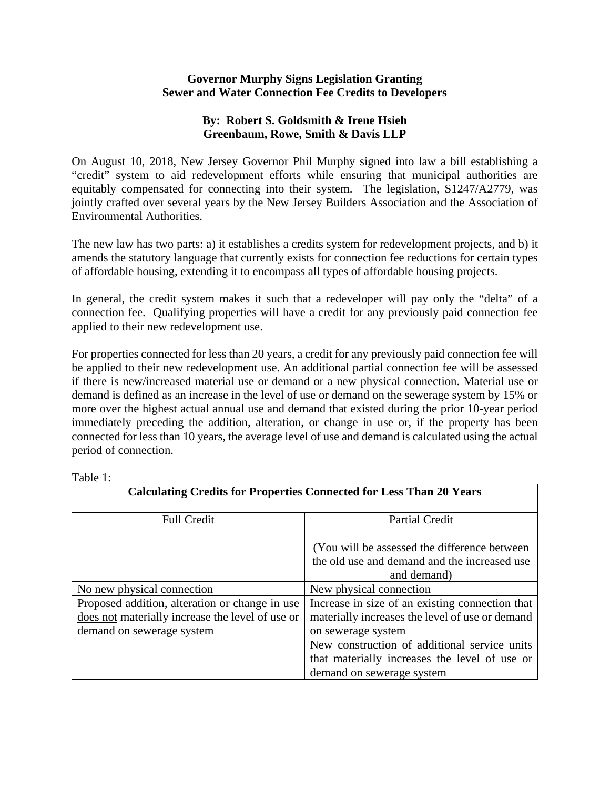## **Governor Murphy Signs Legislation Granting Sewer and Water Connection Fee Credits to Developers**

## **By: Robert S. Goldsmith & Irene Hsieh Greenbaum, Rowe, Smith & Davis LLP**

On August 10, 2018, New Jersey Governor Phil Murphy signed into law a bill establishing a "credit" system to aid redevelopment efforts while ensuring that municipal authorities are equitably compensated for connecting into their system. The legislation, S1247/A2779, was jointly crafted over several years by the New Jersey Builders Association and the Association of Environmental Authorities.

The new law has two parts: a) it establishes a credits system for redevelopment projects, and b) it amends the statutory language that currently exists for connection fee reductions for certain types of affordable housing, extending it to encompass all types of affordable housing projects.

In general, the credit system makes it such that a redeveloper will pay only the "delta" of a connection fee. Qualifying properties will have a credit for any previously paid connection fee applied to their new redevelopment use.

For properties connected for less than 20 years, a credit for any previously paid connection fee will be applied to their new redevelopment use. An additional partial connection fee will be assessed if there is new/increased material use or demand or a new physical connection. Material use or demand is defined as an increase in the level of use or demand on the sewerage system by 15% or more over the highest actual annual use and demand that existed during the prior 10-year period immediately preceding the addition, alteration, or change in use or, if the property has been connected for less than 10 years, the average level of use and demand is calculated using the actual period of connection.

| <b>Calculating Credits for Properties Connected for Less Than 20 Years</b> |                                                 |
|----------------------------------------------------------------------------|-------------------------------------------------|
|                                                                            |                                                 |
| <b>Full Credit</b>                                                         | <b>Partial Credit</b>                           |
|                                                                            | (You will be assessed the difference between)   |
|                                                                            | the old use and demand and the increased use    |
|                                                                            | and demand)                                     |
| No new physical connection                                                 | New physical connection                         |
| Proposed addition, alteration or change in use                             | Increase in size of an existing connection that |
| does not materially increase the level of use or                           | materially increases the level of use or demand |
| demand on sewerage system                                                  | on sewerage system                              |
|                                                                            | New construction of additional service units    |
|                                                                            | that materially increases the level of use or   |
|                                                                            | demand on sewerage system                       |

Table 1: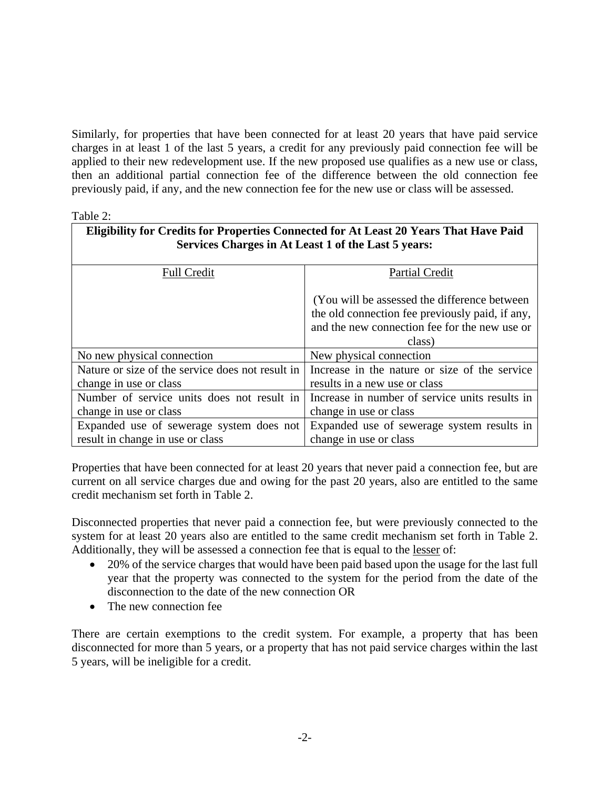Similarly, for properties that have been connected for at least 20 years that have paid service charges in at least 1 of the last 5 years, a credit for any previously paid connection fee will be applied to their new redevelopment use. If the new proposed use qualifies as a new use or class, then an additional partial connection fee of the difference between the old connection fee previously paid, if any, and the new connection fee for the new use or class will be assessed.

## Table 2:

| Eligibility for Credits for Properties Connected for At Least 20 Years That Have Paid<br>Services Charges in At Least 1 of the Last 5 years: |                                                 |
|----------------------------------------------------------------------------------------------------------------------------------------------|-------------------------------------------------|
| <b>Full Credit</b>                                                                                                                           | <b>Partial Credit</b>                           |
|                                                                                                                                              |                                                 |
|                                                                                                                                              | (You will be assessed the difference between)   |
|                                                                                                                                              | the old connection fee previously paid, if any, |
|                                                                                                                                              | and the new connection fee for the new use or   |
|                                                                                                                                              | class)                                          |
| No new physical connection                                                                                                                   | New physical connection                         |
| Nature or size of the service does not result in                                                                                             | Increase in the nature or size of the service   |
| change in use or class                                                                                                                       | results in a new use or class                   |
| Number of service units does not result in                                                                                                   | Increase in number of service units results in  |
| change in use or class                                                                                                                       | change in use or class                          |
| Expanded use of sewerage system does not                                                                                                     | Expanded use of sewerage system results in      |
| result in change in use or class                                                                                                             | change in use or class                          |

Properties that have been connected for at least 20 years that never paid a connection fee, but are current on all service charges due and owing for the past 20 years, also are entitled to the same credit mechanism set forth in Table 2.

Disconnected properties that never paid a connection fee, but were previously connected to the system for at least 20 years also are entitled to the same credit mechanism set forth in Table 2. Additionally, they will be assessed a connection fee that is equal to the lesser of:

- 20% of the service charges that would have been paid based upon the usage for the last full year that the property was connected to the system for the period from the date of the disconnection to the date of the new connection OR
- The new connection fee

There are certain exemptions to the credit system. For example, a property that has been disconnected for more than 5 years, or a property that has not paid service charges within the last 5 years, will be ineligible for a credit.